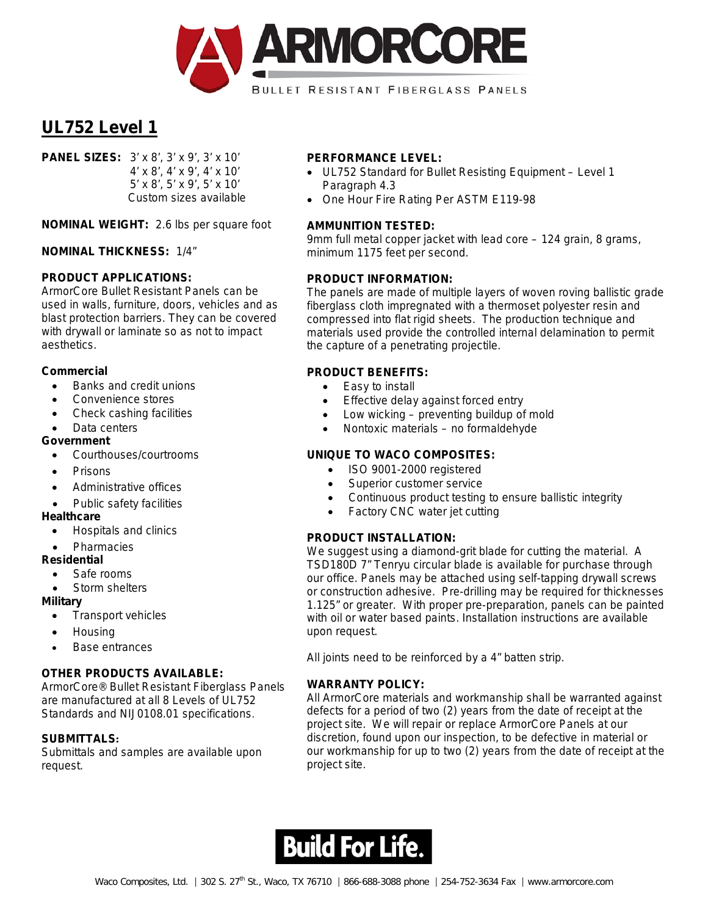

**PANEL SIZES:** 3' x 8', 3' x 9', 3' x 10' 4' x 8', 4' x 9', 4' x 10' 5' x 8', 5' x 9', 5' x 10' Custom sizes available

**NOMINAL WEIGHT:** 2.6 lbs per square foot

**NOMINAL THICKNESS:** 1/4"

## **PRODUCT APPLICATIONS:**

ArmorCore Bullet Resistant Panels can be used in walls, furniture, doors, vehicles and as blast protection barriers. They can be covered with drywall or laminate so as not to impact aesthetics.

#### **Commercial**

- Banks and credit unions
- Convenience stores
- Check cashing facilities
- Data centers

#### **Government**

- Courthouses/courtrooms
- Prisons
- Administrative offices
- Public safety facilities

#### **Healthcare**

- Hospitals and clinics
- **Pharmacies**

## **Residential**

- Safe rooms
- Storm shelters

#### **Military**

- Transport vehicles
- Housing
- Base entrances

## **OTHER PRODUCTS AVAILABLE:**

ArmorCore® Bullet Resistant Fiberglass Panels are manufactured at all 8 Levels of UL752 Standards and NIJ0108.01 specifications.

## **SUBMITTALS**:

Submittals and samples are available upon request.

#### **PERFORMANCE LEVEL:**

- UL752 Standard for Bullet Resisting Equipment Level 1 Paragraph 4.3
- One Hour Fire Rating Per ASTM E119-98

#### **AMMUNITION TESTED:**

9mm full metal copper jacket with lead core – 124 grain, 8 grams, minimum 1175 feet per second.

#### **PRODUCT INFORMATION:**

The panels are made of multiple layers of woven roving ballistic grade fiberglass cloth impregnated with a thermoset polyester resin and compressed into flat rigid sheets. The production technique and materials used provide the controlled internal delamination to permit the capture of a penetrating projectile.

#### **PRODUCT BENEFITS:**

- Easy to install
- Effective delay against forced entry
- Low wicking preventing buildup of mold
- Nontoxic materials no formaldehyde

## **UNIQUE TO WACO COMPOSITES:**

- ISO 9001-2000 registered
- Superior customer service
- Continuous product testing to ensure ballistic integrity
- Factory CNC water jet cutting

## **PRODUCT INSTALLATION:**

We suggest using a diamond-grit blade for cutting the material. A TSD180D 7" Tenryu circular blade is available for purchase through our office. Panels may be attached using self-tapping drywall screws or construction adhesive. Pre-drilling may be required for thicknesses 1.125" or greater. With proper pre-preparation, panels can be painted with oil or water based paints. Installation instructions are available upon request.

All joints need to be reinforced by a 4" batten strip.

## **WARRANTY POLICY:**

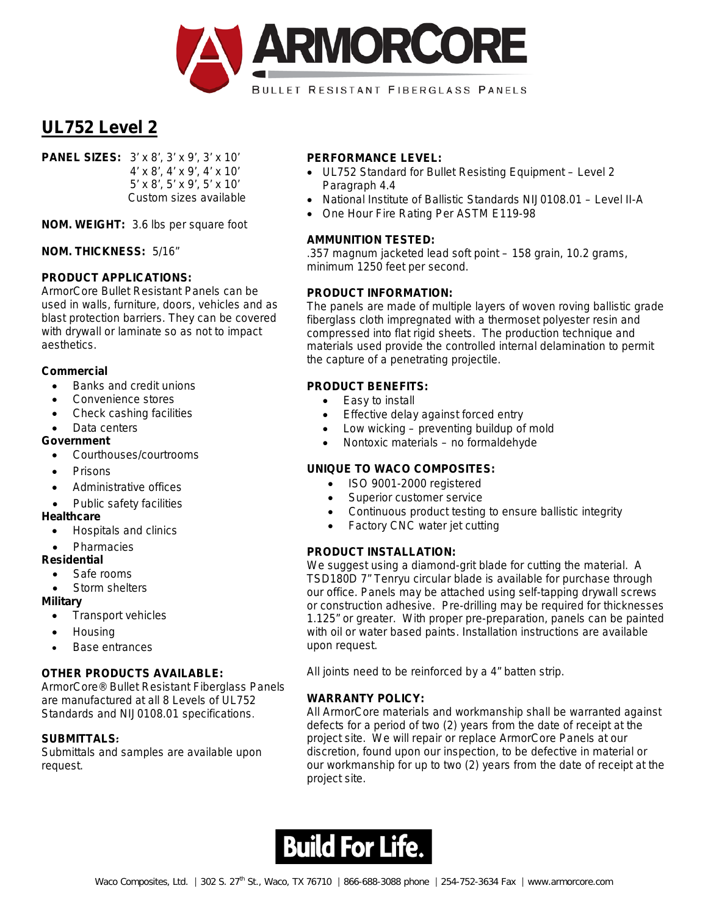

**PANEL SIZES:** 3' x 8', 3' x 9', 3' x 10' 4' x 8', 4' x 9', 4' x 10' 5' x 8', 5' x 9', 5' x 10' Custom sizes available

**NOM. WEIGHT:** 3.6 lbs per square foot

**NOM. THICKNESS:** 5/16"

## **PRODUCT APPLICATIONS:**

ArmorCore Bullet Resistant Panels can be used in walls, furniture, doors, vehicles and as blast protection barriers. They can be covered with drywall or laminate so as not to impact aesthetics.

#### **Commercial**

- Banks and credit unions
- Convenience stores
- Check cashing facilities
- Data centers

#### **Government**

- Courthouses/courtrooms
- Prisons
- Administrative offices
- Public safety facilities

#### **Healthcare**

- Hospitals and clinics
- **Pharmacies**

## **Residential**

- Safe rooms
- Storm shelters

#### **Military**

- Transport vehicles
- Housing
- Base entrances

## **OTHER PRODUCTS AVAILABLE:**

ArmorCore® Bullet Resistant Fiberglass Panels are manufactured at all 8 Levels of UL752 Standards and NIJ0108.01 specifications.

## **SUBMITTALS**:

Submittals and samples are available upon request.

#### **PERFORMANCE LEVEL:**

- UL752 Standard for Bullet Resisting Equipment Level 2 Paragraph 4.4
- National Institute of Ballistic Standards NIJ0108.01 Level II-A
- One Hour Fire Rating Per ASTM E119-98

#### **AMMUNITION TESTED:**

.357 magnum jacketed lead soft point – 158 grain, 10.2 grams, minimum 1250 feet per second.

#### **PRODUCT INFORMATION:**

The panels are made of multiple layers of woven roving ballistic grade fiberglass cloth impregnated with a thermoset polyester resin and compressed into flat rigid sheets. The production technique and materials used provide the controlled internal delamination to permit the capture of a penetrating projectile.

## **PRODUCT BENEFITS:**

- Easy to install
- Effective delay against forced entry
- Low wicking  $-$  preventing buildup of mold
- Nontoxic materials no formaldehyde

## **UNIQUE TO WACO COMPOSITES:**

- ISO 9001-2000 registered
- Superior customer service
- Continuous product testing to ensure ballistic integrity
- Factory CNC water jet cutting

## **PRODUCT INSTALLATION:**

We suggest using a diamond-grit blade for cutting the material. A TSD180D 7" Tenryu circular blade is available for purchase through our office. Panels may be attached using self-tapping drywall screws or construction adhesive. Pre-drilling may be required for thicknesses 1.125" or greater. With proper pre-preparation, panels can be painted with oil or water based paints. Installation instructions are available upon request.

All joints need to be reinforced by a 4" batten strip.

## **WARRANTY POLICY:**

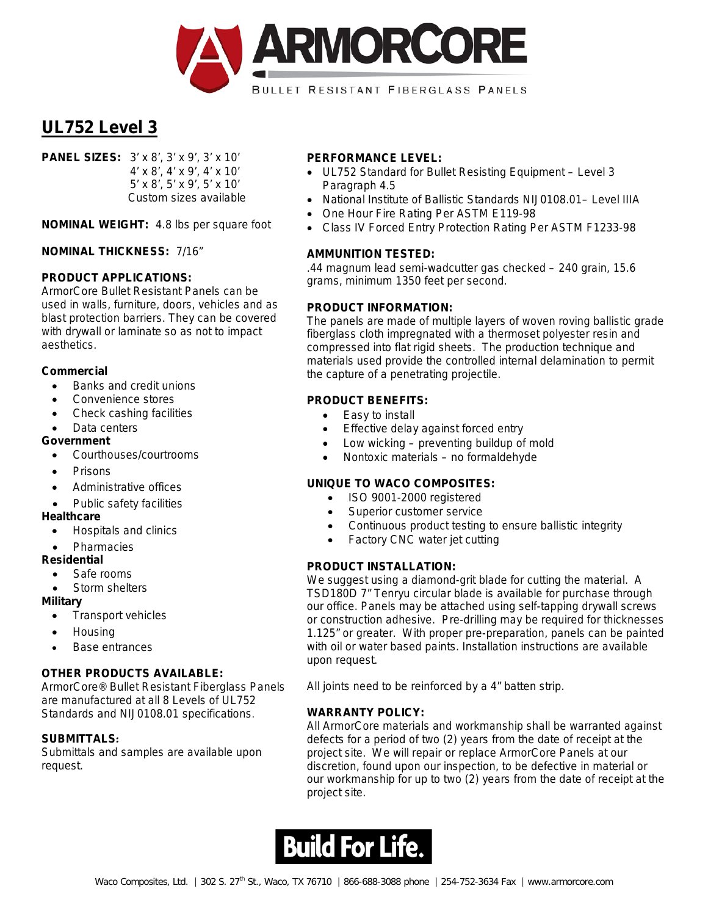

**PANEL SIZES:** 3' x 8', 3' x 9', 3' x 10' 4' x 8', 4' x 9', 4' x 10' 5' x 8', 5' x 9', 5' x 10' Custom sizes available

**NOMINAL WEIGHT:** 4.8 lbs per square foot

**NOMINAL THICKNESS:** 7/16"

## **PRODUCT APPLICATIONS:**

ArmorCore Bullet Resistant Panels can be used in walls, furniture, doors, vehicles and as blast protection barriers. They can be covered with drywall or laminate so as not to impact aesthetics.

#### **Commercial**

- Banks and credit unions
- Convenience stores
- Check cashing facilities
- Data centers

#### **Government**

- Courthouses/courtrooms
- Prisons
- Administrative offices
- Public safety facilities

#### **Healthcare**

- Hospitals and clinics
- **Pharmacies**

## **Residential**

- Safe rooms
- Storm shelters

#### **Military**

- Transport vehicles
- Housing
- Base entrances

## **OTHER PRODUCTS AVAILABLE:**

ArmorCore® Bullet Resistant Fiberglass Panels are manufactured at all 8 Levels of UL752 Standards and NIJ0108.01 specifications.

## **SUBMITTALS**:

Submittals and samples are available upon request.

## **PERFORMANCE LEVEL:**

- UL752 Standard for Bullet Resisting Equipment Level 3 Paragraph 4.5
- National Institute of Ballistic Standards NIJ0108.01– Level IIIA
- One Hour Fire Rating Per ASTM E119-98
- Class IV Forced Entry Protection Rating Per ASTM F1233-98

## **AMMUNITION TESTED:**

.44 magnum lead semi-wadcutter gas checked – 240 grain, 15.6 grams, minimum 1350 feet per second.

## **PRODUCT INFORMATION:**

The panels are made of multiple layers of woven roving ballistic grade fiberglass cloth impregnated with a thermoset polyester resin and compressed into flat rigid sheets. The production technique and materials used provide the controlled internal delamination to permit the capture of a penetrating projectile.

## **PRODUCT BENEFITS:**

- Easy to install
- Effective delay against forced entry
- Low wicking preventing buildup of mold
- Nontoxic materials no formaldehyde

## **UNIQUE TO WACO COMPOSITES:**

- ISO 9001-2000 registered
- Superior customer service
- Continuous product testing to ensure ballistic integrity
- Factory CNC water jet cutting

## **PRODUCT INSTALLATION:**

We suggest using a diamond-grit blade for cutting the material. A TSD180D 7" Tenryu circular blade is available for purchase through our office. Panels may be attached using self-tapping drywall screws or construction adhesive. Pre-drilling may be required for thicknesses 1.125" or greater. With proper pre-preparation, panels can be painted with oil or water based paints. Installation instructions are available upon request.

All joints need to be reinforced by a 4" batten strip.

## **WARRANTY POLICY:**

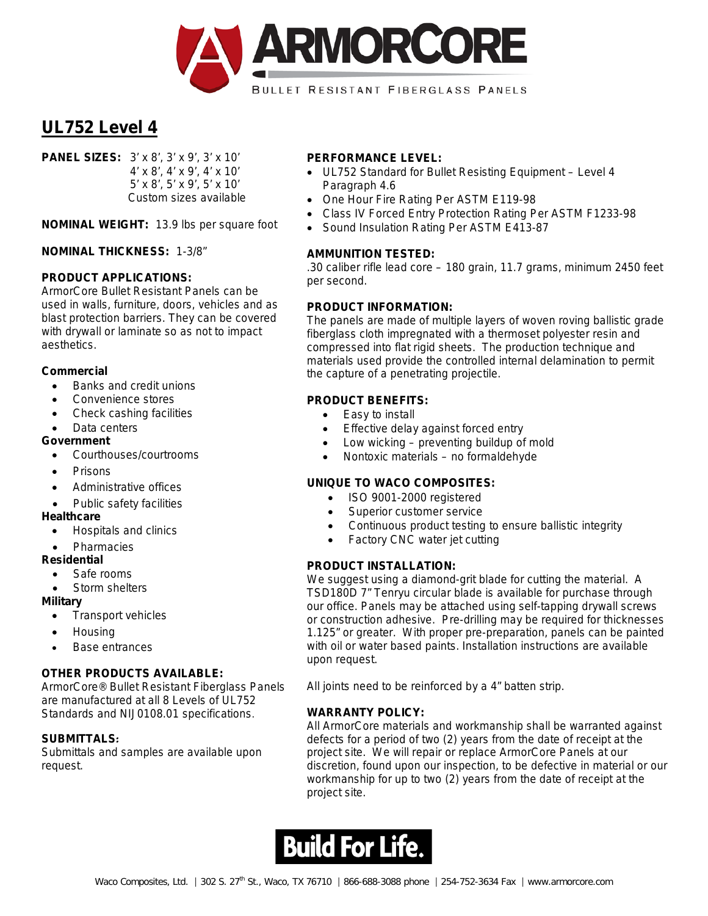

**PANEL SIZES:** 3' x 8', 3' x 9', 3' x 10' 4' x 8', 4' x 9', 4' x 10' 5' x 8', 5' x 9', 5' x 10' Custom sizes available

**NOMINAL WEIGHT:** 13.9 lbs per square foot

#### **NOMINAL THICKNESS:** 1-3/8"

#### **PRODUCT APPLICATIONS:**

ArmorCore Bullet Resistant Panels can be used in walls, furniture, doors, vehicles and as blast protection barriers. They can be covered with drywall or laminate so as not to impact aesthetics.

#### **Commercial**

- Banks and credit unions
- Convenience stores
- Check cashing facilities
- Data centers

#### **Government**

- Courthouses/courtrooms
- Prisons
- Administrative offices
- Public safety facilities

#### **Healthcare**

- Hospitals and clinics
- **Pharmacies**

#### **Residential**

- Safe rooms
- Storm shelters

#### **Military**

- Transport vehicles
- Housing
- Base entrances

## **OTHER PRODUCTS AVAILABLE:**

ArmorCore® Bullet Resistant Fiberglass Panels are manufactured at all 8 Levels of UL752 Standards and NIJ0108.01 specifications.

#### **SUBMITTALS**:

Submittals and samples are available upon request.

#### **PERFORMANCE LEVEL:**

- UL752 Standard for Bullet Resisting Equipment Level 4 Paragraph 4.6
- One Hour Fire Rating Per ASTM E119-98
- Class IV Forced Entry Protection Rating Per ASTM F1233-98
- Sound Insulation Rating Per ASTM E413-87

#### **AMMUNITION TESTED:**

.30 caliber rifle lead core – 180 grain, 11.7 grams, minimum 2450 feet per second.

#### **PRODUCT INFORMATION:**

The panels are made of multiple layers of woven roving ballistic grade fiberglass cloth impregnated with a thermoset polyester resin and compressed into flat rigid sheets. The production technique and materials used provide the controlled internal delamination to permit the capture of a penetrating projectile.

## **PRODUCT BENEFITS:**

- Easy to install
- Effective delay against forced entry
- Low wicking  $-$  preventing buildup of mold
- Nontoxic materials no formaldehyde

# **UNIQUE TO WACO COMPOSITES:**

- ISO 9001-2000 registered
- Superior customer service
- Continuous product testing to ensure ballistic integrity
- Factory CNC water jet cutting

## **PRODUCT INSTALLATION:**

We suggest using a diamond-grit blade for cutting the material. A TSD180D 7" Tenryu circular blade is available for purchase through our office. Panels may be attached using self-tapping drywall screws or construction adhesive. Pre-drilling may be required for thicknesses 1.125" or greater. With proper pre-preparation, panels can be painted with oil or water based paints. Installation instructions are available upon request.

All joints need to be reinforced by a 4" batten strip.

## **WARRANTY POLICY:**

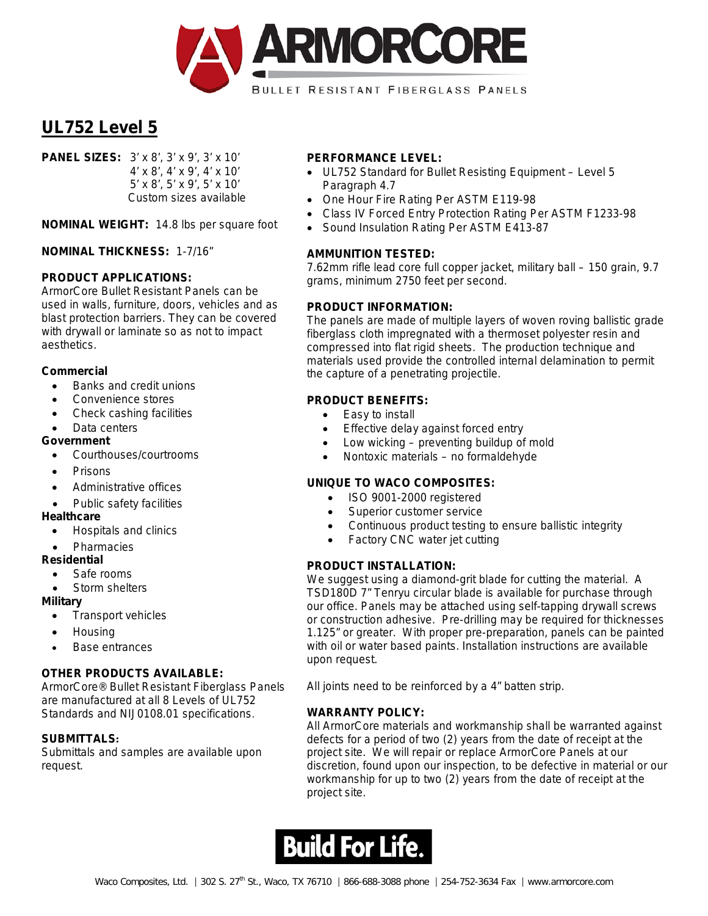

**PANEL SIZES:** 3' x 8', 3' x 9', 3' x 10' 4' x 8', 4' x 9', 4' x 10' 5' x 8', 5' x 9', 5' x 10' Custom sizes available

**NOMINAL WEIGHT:** 14.8 lbs per square foot

**NOMINAL THICKNESS:** 1-7/16"

## **PRODUCT APPLICATIONS:**

ArmorCore Bullet Resistant Panels can be used in walls, furniture, doors, vehicles and as blast protection barriers. They can be covered with drywall or laminate so as not to impact aesthetics.

#### **Commercial**

- Banks and credit unions
- Convenience stores
- Check cashing facilities
- Data centers

#### **Government**

- Courthouses/courtrooms
- Prisons
- Administrative offices
- Public safety facilities

#### **Healthcare**

- Hospitals and clinics
- **Pharmacies**

#### **Residential**

- Safe rooms
- Storm shelters

#### **Military**

- Transport vehicles
- Housing
- Base entrances

## **OTHER PRODUCTS AVAILABLE:**

ArmorCore® Bullet Resistant Fiberglass Panels are manufactured at all 8 Levels of UL752 Standards and NIJ0108.01 specifications.

## **SUBMITTALS**:

Submittals and samples are available upon request.

#### **PERFORMANCE LEVEL:**

- UL752 Standard for Bullet Resisting Equipment Level 5 Paragraph 4.7
- One Hour Fire Rating Per ASTM E119-98
- Class IV Forced Entry Protection Rating Per ASTM F1233-98
- Sound Insulation Rating Per ASTM E413-87

#### **AMMUNITION TESTED:**

7.62mm rifle lead core full copper jacket, military ball – 150 grain, 9.7 grams, minimum 2750 feet per second.

## **PRODUCT INFORMATION:**

The panels are made of multiple layers of woven roving ballistic grade fiberglass cloth impregnated with a thermoset polyester resin and compressed into flat rigid sheets. The production technique and materials used provide the controlled internal delamination to permit the capture of a penetrating projectile.

## **PRODUCT BENEFITS:**

- Easy to install
- Effective delay against forced entry
- Low wicking  $-$  preventing buildup of mold
- Nontoxic materials no formaldehyde

# **UNIQUE TO WACO COMPOSITES:**

- ISO 9001-2000 registered
- Superior customer service
- Continuous product testing to ensure ballistic integrity
- Factory CNC water jet cutting

## **PRODUCT INSTALLATION:**

We suggest using a diamond-grit blade for cutting the material. A TSD180D 7" Tenryu circular blade is available for purchase through our office. Panels may be attached using self-tapping drywall screws or construction adhesive. Pre-drilling may be required for thicknesses 1.125" or greater. With proper pre-preparation, panels can be painted with oil or water based paints. Installation instructions are available upon request.

All joints need to be reinforced by a 4" batten strip.

# **WARRANTY POLICY:**

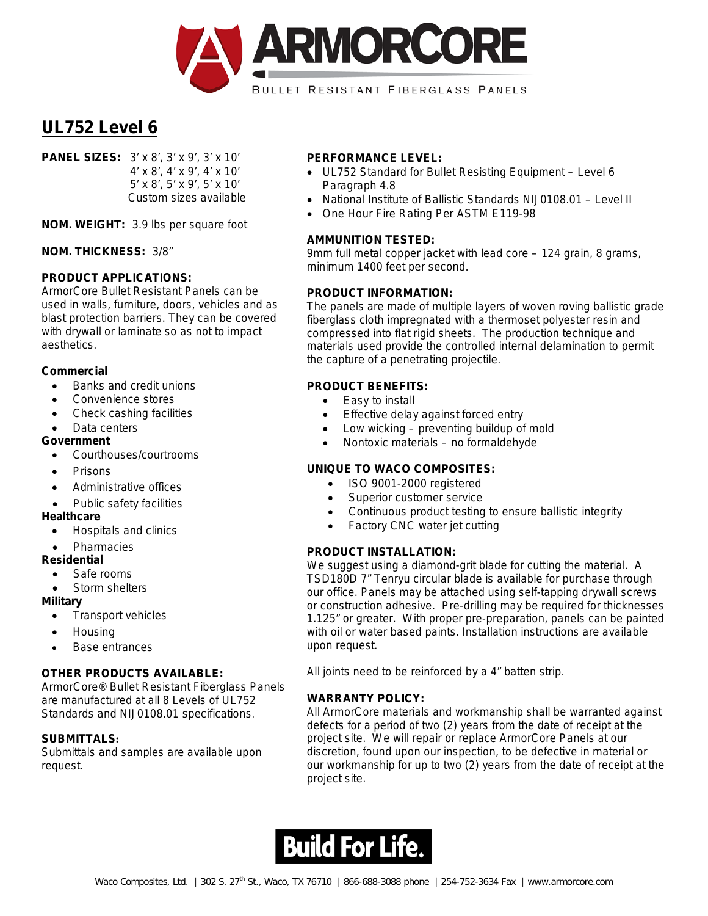

**PANEL SIZES:** 3' x 8', 3' x 9', 3' x 10' 4' x 8', 4' x 9', 4' x 10' 5' x 8', 5' x 9', 5' x 10' Custom sizes available

**NOM. WEIGHT:** 3.9 lbs per square foot

**NOM. THICKNESS:** 3/8"

## **PRODUCT APPLICATIONS:**

ArmorCore Bullet Resistant Panels can be used in walls, furniture, doors, vehicles and as blast protection barriers. They can be covered with drywall or laminate so as not to impact aesthetics.

#### **Commercial**

- Banks and credit unions
- Convenience stores
- Check cashing facilities
- Data centers

#### **Government**

- Courthouses/courtrooms
- Prisons
- Administrative offices
- Public safety facilities

#### **Healthcare**

- Hospitals and clinics
- **Pharmacies**

## **Residential**

- Safe rooms
- Storm shelters

#### **Military**

- Transport vehicles
- Housing
- Base entrances

## **OTHER PRODUCTS AVAILABLE:**

ArmorCore® Bullet Resistant Fiberglass Panels are manufactured at all 8 Levels of UL752 Standards and NIJ0108.01 specifications.

## **SUBMITTALS**:

Submittals and samples are available upon request.

#### **PERFORMANCE LEVEL:**

- UL752 Standard for Bullet Resisting Equipment Level 6 Paragraph 4.8
- National Institute of Ballistic Standards NIJ0108.01 Level II
- One Hour Fire Rating Per ASTM E119-98

#### **AMMUNITION TESTED:**

9mm full metal copper jacket with lead core – 124 grain, 8 grams, minimum 1400 feet per second.

#### **PRODUCT INFORMATION:**

The panels are made of multiple layers of woven roving ballistic grade fiberglass cloth impregnated with a thermoset polyester resin and compressed into flat rigid sheets. The production technique and materials used provide the controlled internal delamination to permit the capture of a penetrating projectile.

# **PRODUCT BENEFITS:**

- Easy to install
- Effective delay against forced entry
- Low wicking  $-$  preventing buildup of mold
- Nontoxic materials no formaldehyde

## **UNIQUE TO WACO COMPOSITES:**

- ISO 9001-2000 registered
- Superior customer service
- Continuous product testing to ensure ballistic integrity
- Factory CNC water jet cutting

## **PRODUCT INSTALLATION:**

We suggest using a diamond-grit blade for cutting the material. A TSD180D 7" Tenryu circular blade is available for purchase through our office. Panels may be attached using self-tapping drywall screws or construction adhesive. Pre-drilling may be required for thicknesses 1.125" or greater. With proper pre-preparation, panels can be painted with oil or water based paints. Installation instructions are available upon request.

All joints need to be reinforced by a 4" batten strip.

## **WARRANTY POLICY:**

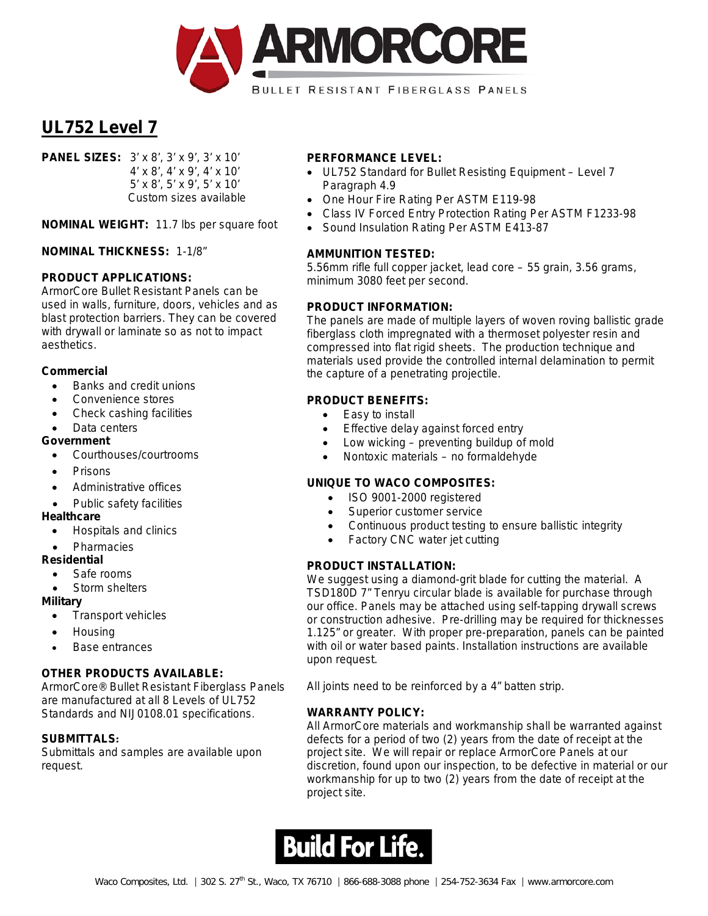

**PANEL SIZES:** 3' x 8', 3' x 9', 3' x 10' 4' x 8', 4' x 9', 4' x 10' 5' x 8', 5' x 9', 5' x 10' Custom sizes available

**NOMINAL WEIGHT:** 11.7 lbs per square foot

**NOMINAL THICKNESS:** 1-1/8"

## **PRODUCT APPLICATIONS:**

ArmorCore Bullet Resistant Panels can be used in walls, furniture, doors, vehicles and as blast protection barriers. They can be covered with drywall or laminate so as not to impact aesthetics.

#### **Commercial**

- Banks and credit unions
- Convenience stores
- Check cashing facilities
- Data centers

#### **Government**

- Courthouses/courtrooms
- Prisons
- Administrative offices
- Public safety facilities

#### **Healthcare**

- Hospitals and clinics
- **Pharmacies**

## **Residential**

- Safe rooms
- Storm shelters

#### **Military**

- Transport vehicles
- Housing
- Base entrances

## **OTHER PRODUCTS AVAILABLE:**

ArmorCore® Bullet Resistant Fiberglass Panels are manufactured at all 8 Levels of UL752 Standards and NIJ0108.01 specifications.

## **SUBMITTALS**:

Submittals and samples are available upon request.

## **PERFORMANCE LEVEL:**

- UL752 Standard for Bullet Resisting Equipment Level 7 Paragraph 4.9
- One Hour Fire Rating Per ASTM E119-98
- Class IV Forced Entry Protection Rating Per ASTM F1233-98
- Sound Insulation Rating Per ASTM E413-87

## **AMMUNITION TESTED:**

5.56mm rifle full copper jacket, lead core – 55 grain, 3.56 grams, minimum 3080 feet per second.

## **PRODUCT INFORMATION:**

The panels are made of multiple layers of woven roving ballistic grade fiberglass cloth impregnated with a thermoset polyester resin and compressed into flat rigid sheets. The production technique and materials used provide the controlled internal delamination to permit the capture of a penetrating projectile.

## **PRODUCT BENEFITS:**

- Easy to install
- Effective delay against forced entry
- Low wicking  $-$  preventing buildup of mold
- Nontoxic materials no formaldehyde

# **UNIQUE TO WACO COMPOSITES:**

- ISO 9001-2000 registered
- Superior customer service
- Continuous product testing to ensure ballistic integrity
- Factory CNC water jet cutting

## **PRODUCT INSTALLATION:**

We suggest using a diamond-grit blade for cutting the material. A TSD180D 7" Tenryu circular blade is available for purchase through our office. Panels may be attached using self-tapping drywall screws or construction adhesive. Pre-drilling may be required for thicknesses 1.125" or greater. With proper pre-preparation, panels can be painted with oil or water based paints. Installation instructions are available upon request.

All joints need to be reinforced by a 4" batten strip.

## **WARRANTY POLICY:**